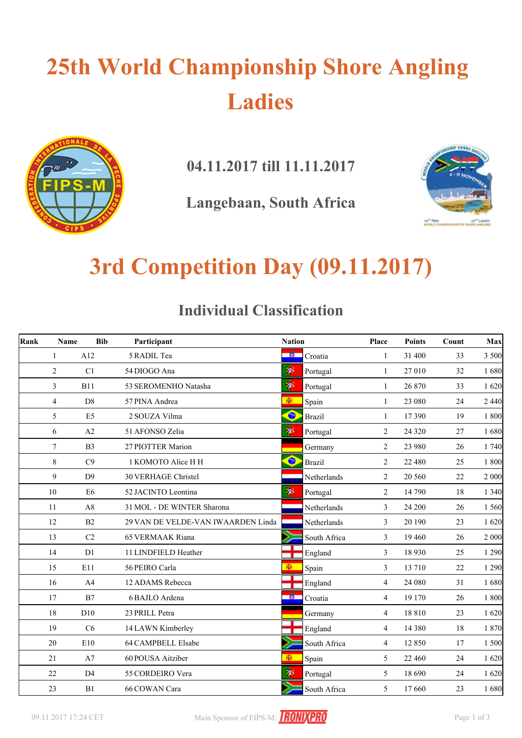# **25th World Championship Shore Angling Ladies**



**04.11.2017 till 11.11.2017**

**Langebaan, South Africa**



### **3rd Competition Day (09.11.2017)**

#### **Individual Classification**

| Rank | Name           | <b>Bib</b>     | Participant                        | <b>Nation</b> |               | Place          | <b>Points</b> | Count | Max     |
|------|----------------|----------------|------------------------------------|---------------|---------------|----------------|---------------|-------|---------|
|      | $\mathbf{1}$   | A12            | 5 RADIL Tea                        | 一箇            | Croatia       | 1              | 31 400        | 33    | 3 500   |
|      | $\overline{2}$ | C1             | 54 DIOGO Ana                       | ۳             | Portugal      | $\mathbf{1}$   | 27 010        | 32    | 1680    |
|      | 3              | <b>B11</b>     | 53 SEROMENHO Natasha               | Ŵ             | Portugal      | 1              | 26 870        | 33    | 1620    |
|      | $\overline{4}$ | D <sub>8</sub> | 57 PINA Andrea                     | 图             | Spain         | $\mathbf{1}$   | 23 080        | 24    | 2 4 4 0 |
|      | 5              | E <sub>5</sub> | 2 SOUZA Vilma                      | $\bullet$     | <b>Brazil</b> | 1              | 17 390        | 19    | 1800    |
|      | 6              | A2             | 51 AFONSO Zelia                    | 渺             | Portugal      | 2              | 24 3 20       | 27    | 1680    |
|      | $\tau$         | B <sub>3</sub> | 27 PIOTTER Marion                  |               | Germany       | 2              | 23 980        | 26    | 1740    |
|      | 8              | C9             | 1 KOMOTO Alice H H                 | $\bullet$     | <b>Brazil</b> | 2              | 22 480        | 25    | 1800    |
|      | 9              | D <sub>9</sub> | <b>30 VERHAGE Christel</b>         |               | Netherlands   | 2              | 20 560        | 22    | 2 000   |
|      | 10             | E <sub>6</sub> | 52 JACINTO Leontina                | Ŵ             | Portugal      | $\overline{c}$ | 14 790        | 18    | 1 3 4 0 |
|      | 11             | A8             | 31 MOL - DE WINTER Sharona         |               | Netherlands   | 3              | 24 200        | 26    | 1 5 6 0 |
|      | 12             | B2             | 29 VAN DE VELDE-VAN IWAARDEN Linda |               | Netherlands   | 3              | 20 190        | 23    | 1620    |
|      | 13             | C <sub>2</sub> | <b>65 VERMAAK Riana</b>            |               | South Africa  | 3              | 19 4 60       | 26    | 2 0 0 0 |
|      | 14             | D <sub>1</sub> | 11 LINDFIELD Heather               |               | England       | 3              | 18 9 30       | 25    | 1 2 9 0 |
|      | 15             | E11            | 56 PEIRO Carla                     | 图             | Spain         | 3              | 13 710        | 22    | 1 2 9 0 |
|      | 16             | A4             | 12 ADAMS Rebecca                   |               | England       | $\overline{4}$ | 24 080        | 31    | 1680    |
|      | 17             | B7             | 6 BAJLO Ardena                     | 一箇            | Croatia       | $\overline{4}$ | 19 170        | 26    | 1 800   |
|      | 18             | D10            | 23 PRILL Petra                     |               | Germany       | $\overline{4}$ | 18 8 10       | 23    | 1620    |
|      | 19             | C6             | 14 LAWN Kimberley                  |               | England       | 4              | 14 3 8 0      | 18    | 1870    |
|      | 20             | E10            | 64 CAMPBELL Elsabe                 |               | South Africa  | $\overline{4}$ | 12 850        | 17    | 1 500   |
|      | 21             | A7             | 60 POUSA Aitziber                  | 柳             | Spain         | 5              | 22 460        | 24    | 1620    |
|      | 22             | D <sub>4</sub> | 55 CORDEIRO Vera                   | 瘳             | Portugal      | 5              | 18 690        | 24    | 1620    |
|      | 23             | B1             | 66 COWAN Cara                      |               | South Africa  | 5              | 17 660        | 23    | 1680    |

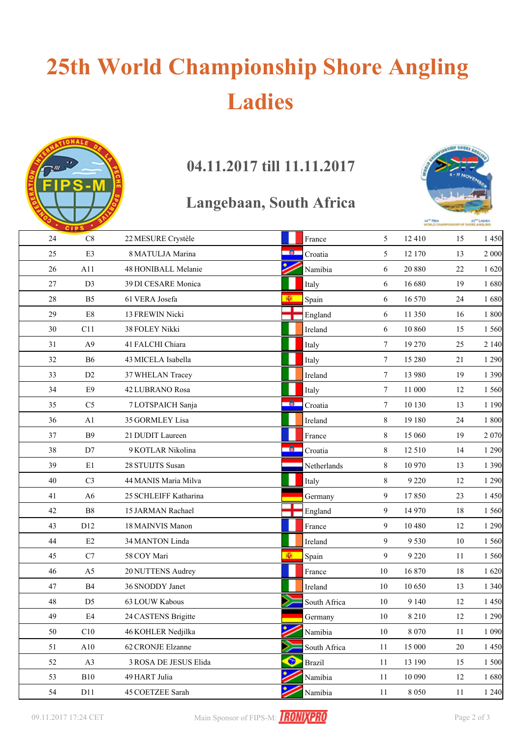# **25th World Championship Shore Angling Ladies**



### **04.11.2017 till 11.11.2017**

#### **Langebaan, South Africa**



|        | <b>CIPS</b>    |                       |                       |                 |         |    |         |
|--------|----------------|-----------------------|-----------------------|-----------------|---------|----|---------|
| 24     | C8             | 22 MESURE Crystèle    | France                | 5               | 12 4 10 | 15 | 1450    |
| 25     | E3             | 8 MATULJA Marina      | - 60<br>Croatia       | 5               | 12 170  | 13 | 2 000   |
| 26     | A11            | 48 HONIBALL Melanie   | Namibia               | 6               | 20 880  | 22 | 1620    |
| 27     | D <sub>3</sub> | 39 DI CESARE Monica   | Italy                 | 6               | 16 680  | 19 | 1680    |
| $28\,$ | B <sub>5</sub> | 61 VERA Josefa        | ЮI<br>Spain           | 6               | 16 570  | 24 | 1680    |
| 29     | $\rm E8$       | 13 FREWIN Nicki       | England               | 6               | 11 350  | 16 | 1800    |
| 30     | C11            | 38 FOLEY Nikki        | Ireland               | 6               | 10 860  | 15 | 1 560   |
| 31     | A <sub>9</sub> | 41 FALCHI Chiara      | Italy                 | $7\overline{ }$ | 19 270  | 25 | 2 1 4 0 |
| 32     | <b>B6</b>      | 43 MICELA Isabella    | Italy                 | $7\overline{ }$ | 15 280  | 21 | 1 2 9 0 |
| 33     | D <sub>2</sub> | 37 WHELAN Tracey      | Ireland               | 7               | 13 980  | 19 | 1 3 9 0 |
| 34     | E9             | 42 LUBRANO Rosa       | Italy                 | $\tau$          | 11 000  | 12 | 1 560   |
| 35     | C <sub>5</sub> | 7 LOTSPAICH Sanja     | <b>A</b> 1<br>Croatia | $\tau$          | 10 130  | 13 | 1 1 9 0 |
| 36     | A1             | 35 GORMLEY Lisa       | Ireland               | 8               | 19 180  | 24 | 1800    |
| 37     | <b>B9</b>      | 21 DUDIT Laureen      | France                | 8               | 15 060  | 19 | 2 0 7 0 |
| 38     | D7             | 9 KOTLAR Nikolina     | - 60<br>Croatia       | 8               | 12 5 10 | 14 | 1 2 9 0 |
| 39     | E1             | 28 STUIJTS Susan      | Netherlands           | 8               | 10 970  | 13 | 1 3 9 0 |
| 40     | C <sub>3</sub> | 44 MANIS Maria Milva  | Italy                 | 8               | 9 2 2 0 | 12 | 1 2 9 0 |
| 41     | A6             | 25 SCHLEIFF Katharina | Germany               | 9               | 17850   | 23 | 1 4 5 0 |
| 42     | B8             | 15 JARMAN Rachael     | England               | 9               | 14 970  | 18 | 1 560   |
| 43     | D12            | 18 MAINVIS Manon      | France                | 9               | 10 480  | 12 | 1 2 9 0 |
| 44     | $\rm E2$       | 34 MANTON Linda       | Ireland               | 9               | 9 5 3 0 | 10 | 1 560   |
| 45     | C7             | 58 COY Mari           | 图<br>Spain            | 9               | 9 2 2 0 | 11 | 1 560   |
| 46     | A <sub>5</sub> | 20 NUTTENS Audrey     | France                | 10              | 16 870  | 18 | 1620    |
| 47     | $\mathbf{B}4$  | 36 SNODDY Janet       | Ireland               | 10              | 10 650  | 13 | 1 3 4 0 |
| $48\,$ | D <sub>5</sub> | 63 LOUW Kabous        | South Africa          | 10              | 9 1 4 0 | 12 | 1450    |
| 49     | E4             | 24 CASTENS Brigitte   | Germany               | 10              | 8 2 1 0 | 12 | 1 2 9 0 |
| 50     | C10            | 46 KOHLER Nedjilka    | Namibia               | 10              | 8 0 7 0 | 11 | 1 0 9 0 |
| 51     | A10            | 62 CRONJE Elzanne     | South Africa          | 11              | 15 000  | 20 | 1 4 5 0 |
| 52     | A3             | 3 ROSA DE JESUS Elida | ●<br><b>Brazil</b>    | 11              | 13 190  | 15 | 1 500   |
| 53     | B10            | 49 HART Julia         | Namibia               | 11              | 10 090  | 12 | 1680    |
| 54     | D11            | 45 COETZEE Sarah      | Namibia               | 11              | 8 0 5 0 | 11 | 1 2 4 0 |